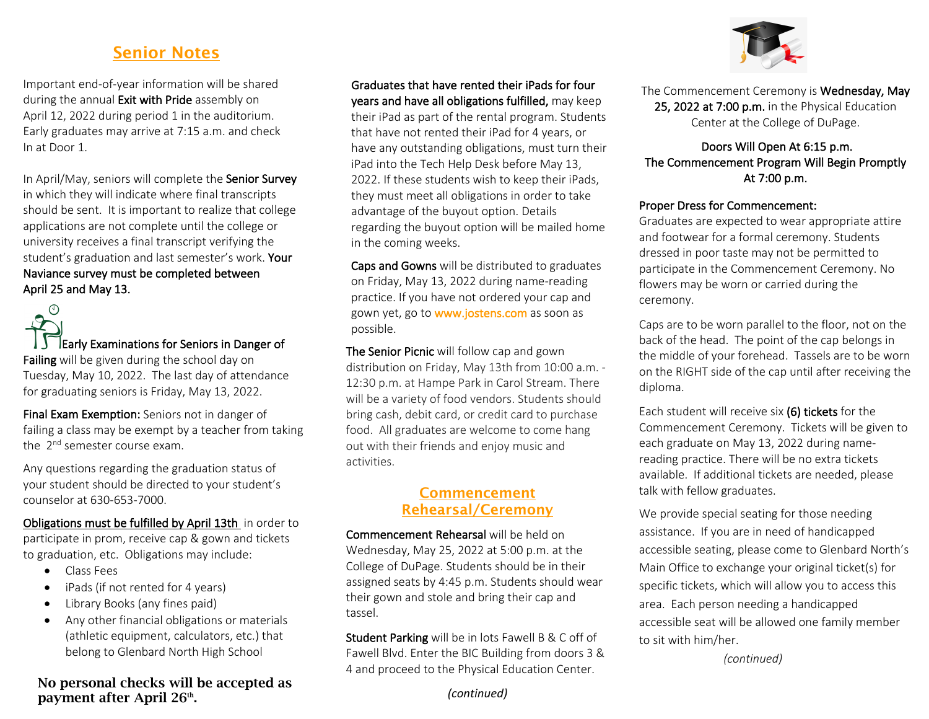## Senior Notes

Important end-of-year information will be shared during the annual **Exit with Pride** assembly on April 12, 2022 during period 1 in the auditorium. Early graduates may arrive at 7:15 a.m. and check In at Door 1.

In April/May, seniors will complete the Senior Survey in which they will indicate where final transcripts should be sent. It is important to realize that college applications are not complete until the college or university receives a final transcript verifying the student's graduation and last semester's work. Your Naviance survey must be completed between April 25 and May 13.



Final Exam Exemption: Seniors not in danger of failing a class may be exempt by a teacher from taking the  $2^{nd}$  semester course exam.

Any questions regarding the graduation status of your student should be directed to your student's counselor at 630-653-7000.

Obligations must be fulfilled by April 13th in order to participate in prom, receive cap & gown and tickets to graduation, etc. Obligations may include:

- Class Fees
- iPads (if not rented for 4 years)
- Library Books (any fines paid)
- Any other financial obligations or materials (athletic equipment, calculators, etc.) that belong to Glenbard North High School

#### No personal checks will be accepted as payment after April 26<sup>th</sup>.

# Graduates that have rented their iPads for four

years and have all obligations fulfilled, may keep their iPad as part of the rental program. Students that have not rented their iPad for 4 years, or have any outstanding obligations, must turn their iPad into the Tech Help Desk before May 13, 2022. If these students wish to keep their iPads, they must meet all obligations in order to take advantage of the buyout option. Details regarding the buyout option will be mailed home in the coming weeks.

Caps and Gowns will be distributed to graduates on Friday, May 13, 2022 during name-reading practice. If you have not ordered your cap and gown yet, go to www.jostens.com as soon as possible.

The Senior Picnic will follow cap and gown distribution on Friday, May 13th from 10:00 a.m. - 12:30 p.m. at Hampe Park in Carol Stream. There will be a variety of food vendors. Students should bring cash, debit card, or credit card to purchase food. All graduates are welcome to come hang out with their friends and enjoy music and activities.

#### Commencement Rehearsal/Ceremony

Commencement Rehearsal will be held on Wednesday, May 25, 2022 at 5:00 p.m. at the College of DuPage. Students should be in their assigned seats by 4:45 p.m. Students should wear their gown and stole and bring their cap and tassel.

Student Parking will be in lots Fawell B & C off of Fawell Blvd. Enter the BIC Building from doors 3 & 4 and proceed to the Physical Education Center.

#### *(continued)*



The Commencement Ceremony is Wednesday, May 25, 2022 at 7:00 p.m. in the Physical Education Center at the College of DuPage.

#### Doors Will Open At 6:15 p.m. The Commencement Program Will Begin Promptly At 7:00 p.m.

#### Proper Dress for Commencement:

Graduates are expected to wear appropriate attire and footwear for a formal ceremony. Students dressed in poor taste may not be permitted to participate in the Commencement Ceremony. No flowers may be worn or carried during the ceremony.

Caps are to be worn parallel to the floor, not on the back of the head. The point of the cap belongs in the middle of your forehead. Tassels are to be worn on the RIGHT side of the cap until after receiving the diploma.

Each student will receive six (6) tickets for the Commencement Ceremony. Tickets will be given to each graduate on May 13, 2022 during namereading practice. There will be no extra tickets available. If additional tickets are needed, please talk with fellow graduates.

We provide special seating for those needing assistance. If you are in need of handicapped accessible seating, please come to Glenbard North's Main Office to exchange your original ticket(s) for specific tickets, which will allow you to access this area. Each person needing a handicapped accessible seat will be allowed one family member to sit with him/her.

*(continued)*